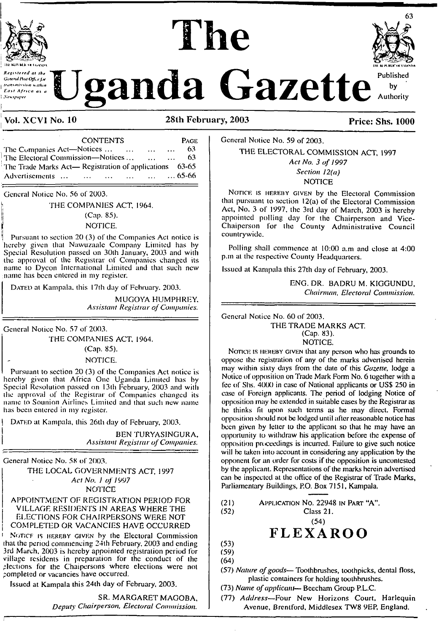

ij

# **Experimental as the Uganda Gazette** Authority

The

#### **<sup>I</sup> Vol. XCV1 No. 10 28th February, 2003 Price: Shs. 1000**

CONTENTS<br>
Volices ... ... ... ... 63 The Companies Act—Notices...................................... 63 The Electoral Commission—Notices............ The Trade Marks Act— Registration of applications 63-65<br>Advertisements ... ... ... ... ... ... ... 65-66 Advertisements ... ... ...

General Notice No. 56 of 2003.

: THE COMPANIES ACT, 1964.

<sup>|</sup> (Cap. 85).

NOTICE.

Pursuant to section 20 (3) of the Companies Act notice is hereby given that Nawuzaalc Company Limited has by Special Resolution passed on 30lh January, 2003 and with the approval of the Registrar of Companies changed its name to Dycon International Limited and that such new name has been entered in my register.

DATED at Kampala, this 17th day of February. 2003.

MUGOYA HUMPHREY. *Assistant Registrar ofCompanies.*

General Notice No. 57 of 2003. THE COMPANIES ACT. 1964.

(Cap. 85).

NOTICE.

Pursuant to section 20 (3) of the Companies Act notice is hereby given that Africa One Uganda Limited has by Special Resolution passed on 13th February, 2003 and with the approval of the Registrar of Companies changed its name to Sounion Airlines Limited and that such new name has been entered in my register.

DATED at Kampala, this 26th day of February, 2003.

! BEN TURYASINGURA, <sup>I</sup> *Assistant Registrar ofCompanies.*

General Notice No. 58 of 2003.

THE LOCAL GOVERNMENTS ACT, 1997 *Act No. <sup>1</sup> of 1997* NOTICE

APPOINTMENT OF REGISTRATION PERIOD FOR VILLAGE RESIDENTS IN AREAS WHERE THE ELECTIONS FOR CHAIRPERSONS WERE NOT COMPLETED OR VACANCIES HAVE OCCURRED

NGTICF IS HEREBY GIVEN by the Electoral Commission that the period commencing 24lh February, 2003 and ending 3rd March, 2003 is hereby appointed registration period for village residents in preparation for the conduct of the flections for the Chaipersons where elections were not completed or vacancies have occurred.

Issued at Kampala this 24th day of February, 2003.

SR. MARGARET MAGOBA, *Deputy Chairperson, Electoral Commission.* General Notice No. 59 of 2003. THE ELECTORAL COMMISSION ACT, 1997

*Act No. 3 of 1997 Section 12(a)* **NOTICE** 

NOTICE IS HEREBY GIVEN by the Electoral Commission that pursuant to section  $12(a)$  of the Electoral Commission Act, No. 3 ol 1997, the 3rd day of March, 2003 is hereby appointed polling day for the Chairperson and Vice-Chaiperson for the County Administrative Council countrywide.

Polling shall commence al 10:00 a.m and close at 4:00 p.m at the respective County Headquarters.

Issued at Kampala this 27lh day of February, 2003.

ENG. DR. BADRU M. KIGGUNDU, *Chairman. Electoral Commission.*

General Notice No. 60 of 2003.

THE TRADE MARKS ACT.

(Cap. 83). NOTICE.

NOTICE IS HEREBY GIVEN that any person who has grounds to oppose the registration of any of the marks advertised herein may within sixty days from the date of this *Gazette,* lodge a Notice of opposition on Trade Mark Form No. 6 together with a fee of Shs. 4000 in case of National applicants or USS 250 in case of Foreign applicants. The period of lodging Notice of opposition may be extended in suitable cases by the Registrar as he thinks fit upon such terms as he may direct. Formal opposition should not be lodged until after reasonable notice has been given by letter to the applicant so that he may have an opportunity to withdraw his application before the expense of opposition proceedings is incurred. Failure to give such notice will be taken into account in considering any application by the opponent for an order for costs if the opposition is uncontcsted by the applicant. Representations of the marks herein advertised can be inspected al the office of the Registrar of Trade Marks, Parliamentary Buildings, P.O. Box 7151, Kampala.

(21) Application No. 22948 in Part "A". (52) Class 21.

(54)

## **FLEXAROO**

(53) (59)

(64)

(57) *Nature ofgoods—* Toothbrushes, toothpicks, dental floss, plastic containers for holding toothbrushes.

(73) *Name ofapplicant*— Beecham Group P.L.C.

(77) *Address—*Four New Horizons Court, Harlequin Avenue, Brentford, Middlesex TW8 9EP, England.

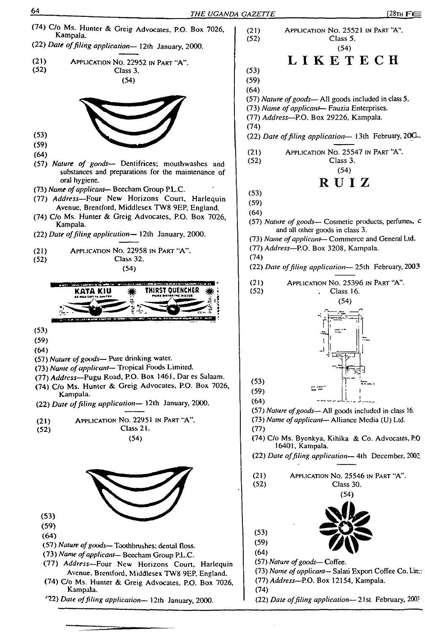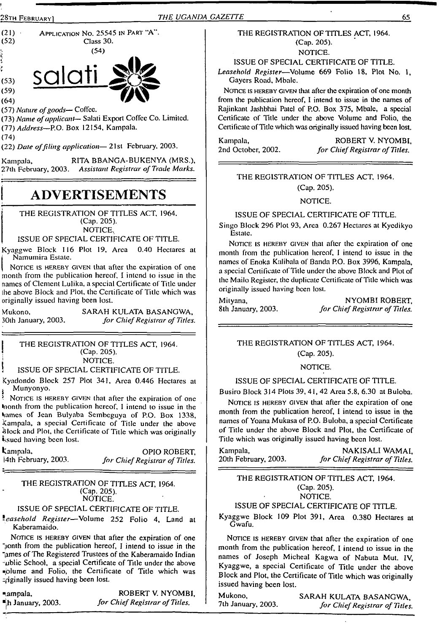

 $(59)$ <br> $(64)$ 

(57) *Nature ofgoods*— Coficc.

(73) *Name ofapplicant*— Salati Export Coffee Co. Limited. *ill) Address—*P.O. Box 12154, Kampala.

(74)

(22) *Date offiling application—* 21st February, 2003.

Kampala, RITA BBANGA-BUKENYA (MRS.),<br>27th February, 2003. Assistant Registrar of Trade Marks. 27th February, 2003. *Assistant Registrar ofTrade Marks.*

## **ADVERTISEMENTS**

THE REGISTRATION OF TITLES ACT, 1964. (Cap. 205). NOTICE.

#### ISSUE OF SPECIAL CERTIFICATE OF TITLE.

Kyaggwe Block 116 Plot 19, Area 0.40 Hectares at Namumira Estate.

Notice is hereby given that after the expiration of one month from the publication hereof, I intend to issue in the names of Clement Lulika, a special Certificate of Title under lhe above Block and Plot, the Certificate of Title which was originally issued having been lost.

Mukono, 30lh January, 2003. SARAH KULATA BASANGWA, *for ChiefRegistrar of Titles.*

THE REGISTRATION OF TITLES ACT, 1964. (Cap. 205). NOTICE.

#### ! ISSUE OF SPECIAL CERTIFICATE OF TITLE.

Kyadondo Block 257 Plot 341, Area 0.446 Hectares at Munyonyo.

NOTICE IS HEREBY GIVEN that after the expiration of one inonth from the publication hereof, I intend to issue in the hames of Jean Bulyaba Sembeguya of P.O. Box 1338, Kampala, a special Certificate of Title under the above Block and Plot, the Certificate of Title which was originally issued having been lost.

Kampala, OPIO ROBERT, |4th February, 2003. *for ChiefRegistrar of Titles.*

#### THE REGISTRATION OF TITLES ACT, 1964. (Cap. 205). NOTICE.

## ISSUE OF SPECIAL CERTIFICATE OF TITLE.

*leasehold Register—*Volume 252 Folio 4, Land al Kaberamaido.

NOTICE IS HEREBY GIVEN that after the expiration of one "lonth from the publication hereof, I intend to issue in the "ames of The Registered Trustees of the Kaberamaido Indian -ublic School, a special Certificate of Title under the above ■plume and Folio, the Certificate of Title which was ziginally issued having been lost.

Ampala, ROBERT V. NYOMBI, ■jh January, 2003. *for ChiefRegistrar ofTitles.*

#### THE REGISTRATION OF TITLES ACT, 1964. (Cap. 205).

NOTICE.

ISSUE OF SPECIAL CERTIFICATE OF TITLE.

*Leasehold Register*—Volume 669 Folio 18, Plot No. 1, Gayers Road, Mbalc.

NOTICE IS HEREBY GIVEN that after the expiration of one month from the publication hereof, I intend to issue in the names of Rajinkant Jashbhai Patel of P.O. Box 375, Mbale, a special Certificate of Title under the above Volume and Folio, the Certificate of Title which was originally issued having been lost.

Kampala, ROBERT V. NYOMBI, 2nd October, 2002. *for ChiefRegistrar ofTitles.*

#### THE REGISTRATION OF TITLES ACT, 1964. (Cap. 205).

NOTICE.

#### ISSUE OF SPECIAL CERTIFICATE OF TITLE.

Singo Block 296 Plot 93, Area 0.267 Hectares at Kycdikyo Estate.

NOTICE IS HEREBY GIVEN that after the expiration of one month from the publication hereof, I intend to issue in the names of Enoka Kalibala of Banda P.O. Box 3996, Kampala, a special Certificate of Title under the above Block and Plot of the Mailo Register, the duplicate Certificate of Title which was originally issued having been lost.

Mityana, NYOMBI ROBERT, 8th January, 2003. *for ChiefRegistrar of Titles.*

#### THE REGISTRATION OF TITLES ACT, 1964. (Cap. 205).

#### NOTICE.

#### ISSUE OF SPECIAL CERTIFICATE OF TITLE.

Busiro Block 314 Plots 39, 41,42 Area 5.8, 6.30 at Buloba.

NOTICE IS HEREBY GIVEN that after the expiration of one month from the publication hereof, I intend to issue in lhe names of Yoana Mukasa of P.O. Buloba, a special Certificate of Title under the above Block and Plot, the Certificate of Title which was originally issued having been lost.

Kampala, **NAKISALI WAMAI,**<br>20th February, 2003. *for Chief Registrar of Titles*. 20th February, 2003. *for ChiefRegistrar of Titles.*

THE REGISTRATION OF TITLES ACT, 1964. (Cap. 205). NOTICE.

#### ISSUE OF SPECIAL CERTIFICATE OF TITLE.

Kyaggwe Block 109 Plot 391, Area 0.380 Hectares at Gwafu.

NOTICE IS HEREBY GIVEN that after the expiration of one month from the publication hereof, I intend to issue in the names of Joseph Micheal Kagwa of Nabuta Mut. IV, Kyaggwe, a special Certificate of Title under lhe above Block and Plot, the Certificate of Title which was originally issued having been lost.

Mukono, SARAH KULATA BASANGWA, 7th January, 2003. for Chief Registrar of Titles 7th January, 2003. *for ChiefRegistrar of Titles.*